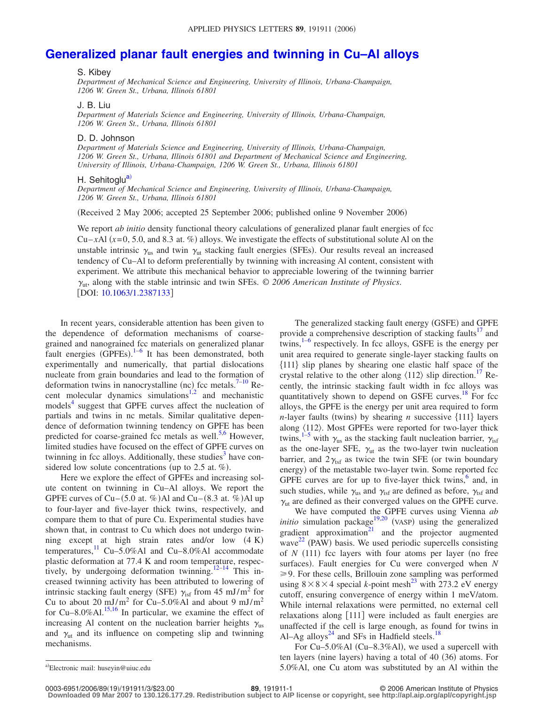# **[Generalized planar fault energies and twinning in Cu–Al alloys](http://dx.doi.org/10.1063/1.2387133)**

#### S. Kibey

*Department of Mechanical Science and Engineering, University of Illinois, Urbana-Champaign, 1206 W. Green St., Urbana, Illinois 61801*

### J. B. Liu

*Department of Materials Science and Engineering, University of Illinois, Urbana-Champaign, 1206 W. Green St., Urbana, Illinois 61801*

## D. D. Johnson

*Department of Materials Science and Engineering, University of Illinois, Urbana-Champaign, 1206 W. Green St., Urbana, Illinois 61801 and Department of Mechanical Science and Engineering, University of Illinois, Urbana-Champaign, 1206 W. Green St., Urbana, Illinois 61801*

## H. Sehitoglu<sup>a)</sup>

*Department of Mechanical Science and Engineering, University of Illinois, Urbana-Champaign, 1206 W. Green St., Urbana, Illinois 61801*

Received 2 May 2006; accepted 25 September 2006; published online 9 November 2006-

We report *ab initio* density functional theory calculations of generalized planar fault energies of fcc Cu–*x*Al  $(x=0, 5.0,$  and 8.3 at. %) alloys. We investigate the effects of substitutional solute Al on the unstable intrinsic  $\gamma_{us}$  and twin  $\gamma_{ut}$  stacking fault energies (SFEs). Our results reveal an increased tendency of Cu–Al to deform preferentially by twinning with increasing Al content, consistent with experiment. We attribute this mechanical behavior to appreciable lowering of the twinning barrier  $\gamma_{\rm ut}$ , along with the stable intrinsic and twin SFEs.  $\odot$  2006 American Institute of Physics. [DOI: [10.1063/1.2387133](http://dx.doi.org/10.1063/1.2387133)]

In recent years, considerable attention has been given to the dependence of deformation mechanisms of coarsegrained and nanograined fcc materials on generalized planar fault energies  $(GPFEs).$ <sup>1-[6](#page-2-1)</sup> It has been demonstrated, both experimentally and numerically, that partial dislocations nucleate from grain boundaries and lead to the formation of deformation twins in nanocrystalline (nc) fcc metals.<sup>7-[10](#page-2-3)</sup> Re-cent molecular dynamics simulations<sup>1[,2](#page-2-4)</sup> and mechanistic models<sup>4</sup> suggest that GPFE curves affect the nucleation of partials and twins in nc metals. Similar qualitative dependence of deformation twinning tendency on GPFE has been predicted for coarse-grained fcc metals as well.<sup>5[,6](#page-2-1)</sup> However, limited studies have focused on the effect of GPFE curves on twinning in fcc alloys. Additionally, these studies<sup>3</sup> have considered low solute concentrations (up to 2.5 at.  $%$ ).

Here we explore the effect of GPFEs and increasing solute content on twinning in Cu–Al alloys. We report the GPFE curves of  $Cu-(5.0$  at. %)Al and  $Cu-(8.3$  at. %)Al up to four-layer and five-layer thick twins, respectively, and compare them to that of pure Cu. Experimental studies have shown that, in contrast to Cu which does not undergo twinning except at high strain rates and/or low  $(4 K)$ temperatures,<sup>11</sup> Cu–5.0%Al and Cu–8.0%Al accommodate plastic deformation at 77.4 K and room temperature, respec-tively, by undergoing deformation twinning.<sup>12[–14](#page-2-10)</sup> This increased twinning activity has been attributed to lowering of intrinsic stacking fault energy (SFE)  $\gamma_{\text{isf}}$  from 45 mJ/m<sup>2</sup> for Cu to about 20 mJ/m<sup>2</sup> for Cu-5.0%Al and about 9 mJ/m<sup>2</sup> for Cu–8.0%Al. $^{15,16}$  $^{15,16}$  $^{15,16}$  In particular, we examine the effect of increasing Al content on the nucleation barrier heights  $\gamma_{\text{us}}$ and  $\gamma_{ut}$  and its influence on competing slip and twinning mechanisms.

The generalized stacking fault energy (GSFE) and GPFE provide a comprehensive description of stacking faults<sup>17</sup> and twins, $1-6$  $1-6$  respectively. In fcc alloys, GSFE is the energy per unit area required to generate single-layer stacking faults on 111 slip planes by shearing one elastic half space of the crystal relative to the other along  $\langle 112 \rangle$  slip direction.<sup>17</sup> Recently, the intrinsic stacking fault width in fcc alloys was quantitatively shown to depend on GSFE curves.<sup>18</sup> For fcc alloys, the GPFE is the energy per unit area required to form *n*-layer faults (twins) by shearing *n* successive  $\{111\}$  layers along  $\langle 112 \rangle$ . Most GPFEs were reported for two-layer thick twins,<sup>1–[5](#page-2-6)</sup> with  $\gamma_{us}$  as the stacking fault nucleation barrier,  $\gamma_{isf}$ as the one-layer SFE,  $\gamma_{ut}$  as the two-layer twin nucleation barrier, and  $2\gamma_{\text{tsf}}$  as twice the twin SFE (or twin boundary energy) of the metastable two-layer twin. Some reported fcc GPFE curves are for up to five-layer thick twins, $6$  and, in such studies, while  $\gamma_{us}$  and  $\gamma_{isf}$  are defined as before,  $\gamma_{tsf}$  and  $\gamma_{\rm ut}$  are defined as their converged values on the GPFE curve.

We have computed the GPFE curves using Vienna *ab initio* simulation package<sup>19[,20](#page-2-16)</sup> (VASP) using the generalized gradient approximation $21$  and the projector augmented wave<sup>[22](#page-2-18)</sup> (PAW) basis. We used periodic supercells consisting of  $N$  (111) fcc layers with four atoms per layer (no free surfaces). Fault energies for Cu were converged when *N* ≥9. For these cells, Brillouin zone sampling was performed using  $8 \times 8 \times 4$  special *k*-point mesh<sup>23</sup> with 273.2 eV energy cutoff, ensuring convergence of energy within 1 meV/atom. While internal relaxations were permitted, no external cell relaxations along [111] were included as fault energies are unaffected if the cell is large enough, as found for twins in Al–Ag alloys<sup>24</sup> and SFs in Hadfield steels.<sup>18</sup>

For Cu-5.0%Al (Cu-8.3%Al), we used a supercell with ten layers (nine layers) having a total of 40 (36) atoms. For  $5.0\%$ Al, one Cu atom was substituted by an Al within the

0003-6951/2006/89(19)/191911/3/\$23.00

19/191911/3/\$23.00 © 2006 American Institute of Physics **89**, 191911-1 **Downloaded 09 Mar 2007 to 130.126.177.29. Redistribution subject to AIP license or copyright, see http://apl.aip.org/apl/copyright.jsp**

<span id="page-0-0"></span>Electronic mail: huseyin@uiuc.edu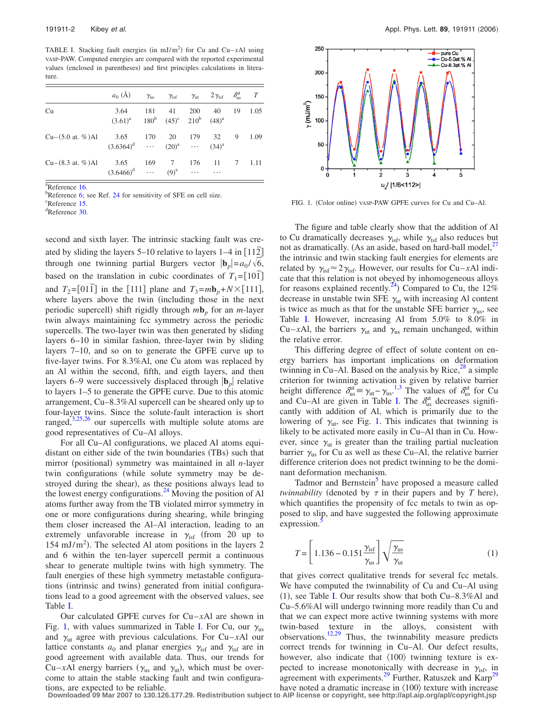<span id="page-1-0"></span>TABLE I. Stacking fault energies (in  $mJ/m<sup>2</sup>$ ) for Cu and Cu–*x*Al using VASP-PAW. Computed energies are compared with the reported experimental values (enclosed in parentheses) and first principles calculations in literature.

|                              | $a_0(A)$                                             | $\gamma_{\rm us}$ | $\gamma_{\rm{isf}}$ | $\gamma_{\rm ut}$ | $2\gamma_{\rm tsf}$ | $\delta_{\rm us}^{\rm ut}$ | T    |
|------------------------------|------------------------------------------------------|-------------------|---------------------|-------------------|---------------------|----------------------------|------|
| Cu                           | 3.64<br>$(3.61)^a$ $180^b$ $(45)^c$ $210^b$ $(48)^a$ | 181               | 41                  | <b>200</b>        | 40                  | 19                         | 1.05 |
| $Cu-(5.0$ at. %)Al           | 3.65<br>$(3.6364)^d$ $(20)^a$                        | 170               | 20                  | 179               | 32<br>$(34)^{a}$    | 9                          | 1.09 |
| $Cu-(8.3 \text{ at. } %)$ Al | 3.65<br>$(3.6466)^d$                                 | 169               | 7<br>$(9)^{a}$      | 176<br>$\ldots$ . | 11<br>.             | 7                          | 1.11 |

 $\frac{a}{b}$ Reference [16.](#page-2-12)

 ${}^{b}$ Reference [6;](#page-2-1) see Ref. [24](#page-2-20) for sensitivity of SFE on cell size.

<sup>c</sup>Reference [15.](#page-2-11)

Reference [30.](#page-2-26)

second and sixth layer. The intrinsic stacking fault was created by sliding the layers 5–10 relative to layers 1–4 in [112] through one twinning partial Burgers vector  $|\mathbf{b}_p| = a_0 / \sqrt{6}$ , based on the translation in cubic coordinates of  $T_1 = [101]$ and  $T_2 = [011]$  in the [111] plane and  $T_3 = m\mathbf{b}_p + N \times [111]$ , where layers above the twin (including those in the next periodic supercell) shift rigidly through  $m\mathbf{b}_p$  for an *m*-layer twin always maintaining fcc symmetry across the periodic supercells. The two-layer twin was then generated by sliding layers 6–10 in similar fashion, three-layer twin by sliding layers 7–10, and so on to generate the GPFE curve up to five-layer twins. For 8.3%Al, one Cu atom was replaced by an Al within the second, fifth, and eigth layers, and then layers 6–9 were successively displaced through  $\mathbf{b}_p$  relative to layers 1–5 to generate the GPFE curve. Due to this atomic arrangement, Cu–8.3%Al supercell can be sheared only up to four-layer twins. Since the solute-fault interaction is short ranged, $3,25,26$  $3,25,26$  $3,25,26$  our supercells with multiple solute atoms are good representatives of Cu–Al alloys.

For all Cu–Al configurations, we placed Al atoms equidistant on either side of the twin boundaries (TBs) such that mirror (positional) symmetry was maintained in all *n*-layer twin configurations (while solute symmetry may be destroyed during the shear), as these positions always lead to the lowest energy configurations.<sup>24</sup> Moving the position of Al atoms further away from the TB violated mirror symmetry in one or more configurations during shearing, while bringing them closer increased the Al–Al interaction, leading to an extremely unfavorable increase in  $\gamma_{\text{isf}}$  (from 20 up to  $154 \text{ mJ/m}^2$ ). The selected Al atom positions in the layers 2 and 6 within the ten-layer supercell permit a continuous shear to generate multiple twins with high symmetry. The fault energies of these high symmetry metastable configurations (intrinsic and twins) generated from initial configurations lead to a good agreement with the observed values, see Table [I.](#page-1-0)

Our calculated GPFE curves for Cu–*x*Al are shown in Fig. [1,](#page-1-1) with values summarized in Table [I.](#page-1-0) For Cu, our  $\gamma_{us}$ and  $\gamma_{ut}$  agree with previous calculations. For Cu–*x*Al our lattice constants  $a_0$  and planar energies  $\gamma_{\text{isf}}$  and  $\gamma_{\text{tsf}}$  are in good agreement with available data. Thus, our trends for Cu–*x*Al energy barriers ( $\gamma_{us}$  and  $\gamma_{ut}$ ), which must be overcome to attain the stable stacking fault and twin configurations, are expected to be reliable.

<span id="page-1-1"></span>

FIG. 1. (Color online) vasp-PAW GPFE curves for Cu and Cu-Al.

The figure and table clearly show that the addition of Al to Cu dramatically decreases  $\gamma_{\text{isf}}$ , while  $\gamma_{\text{tsf}}$  also reduces but not as dramatically. (As an aside, based on hard-ball model, $^{27}$ the intrinsic and twin stacking fault energies for elements are related by  $\gamma_{\text{isf}} \approx 2\gamma_{\text{tsf}}$ . However, our results for Cu–*x*Al indicate that this relation is not obeyed by inhomogeneous alloys for reasons explained recently.<sup>24</sup>) Compared to Cu, the 12% decrease in unstable twin SFE  $\gamma$ <sub>ut</sub> with increasing Al content is twice as much as that for the unstable SFE barrier  $\gamma_{\text{ns}}$ , see Table [I.](#page-1-0) However, increasing Al from 5.0% to 8.0% in Cu–*x*Al, the barriers  $\gamma_{ut}$  and  $\gamma_{us}$  remain unchanged, within the relative error.

This differing degree of effect of solute content on energy barriers has important implications on deformation twinning in Cu–Al. Based on the analysis by Rice, $^{28}$  a simple criterion for twinning activation is given by relative barrier height difference  $\delta_{us}^{ut} = \gamma_{ut} - \gamma_{us}^{1,3}$  $\delta_{us}^{ut} = \gamma_{ut} - \gamma_{us}^{1,3}$  $\delta_{us}^{ut} = \gamma_{ut} - \gamma_{us}^{1,3}$  $\delta_{us}^{ut} = \gamma_{ut} - \gamma_{us}^{1,3}$ . The values of  $\delta_{us}^{ut}$  for Cu and Cu–Al are given in Table [I.](#page-1-0) The  $\delta_{us}^{ut}$  decreases significantly with addition of Al, which is primarily due to the lowering of  $\gamma_{\text{ut}}$ , see Fig. [1.](#page-1-1) This indicates that twinning is likely to be activated more easily in Cu–Al than in Cu. However, since  $\gamma_{ut}$  is greater than the trailing partial nucleation barrier  $\gamma_{\text{us}}$  for Cu as well as these Cu–Al, the relative barrier difference criterion does not predict twinning to be the dominant deformation mechanism.

Tadmor and Bernstein<sup>3</sup> have proposed a measure called *twinnability* (denoted by  $\tau$  in their papers and by  $T$  here), which quantifies the propensity of fcc metals to twin as opposed to slip, and have suggested the following approximate expression.

$$
T = \left[1.136 - 0.151 \frac{\gamma_{\text{isf}}}{\gamma_{\text{us}}}\right] \sqrt{\frac{\gamma_{\text{us}}}{\gamma_{\text{ut}}}}
$$
(1)

that gives correct qualitative trends for several fcc metals. We have computed the twinnability of Cu and Cu–Al using  $(1)$ , see Table [I.](#page-1-0) Our results show that both Cu–8.3%Al and Cu–5.6%Al will undergo twinning more readily than Cu and that we can expect more active twinning systems with more twin-based texture in the alloys, consistent with observations.<sup>12[,29](#page-2-25)</sup> Thus, the twinnability measure predicts correct trends for twinning in Cu–Al. Our defect results, however, also indicate that  $\langle 100 \rangle$  twinning texture is expected to increase monotonically with decrease in  $\gamma_{\text{isf}}$ , in agreement with experiments.<sup>29</sup> Further, Ratuszek and Karp<sup>29</sup>

have noted a dramatic increase in  $\langle 100 \rangle$  texture with increase **Downloaded 09 Mar 2007 to 130.126.177.29. Redistribution subject to AIP license or copyright, see http://apl.aip.org/apl/copyright.jsp**